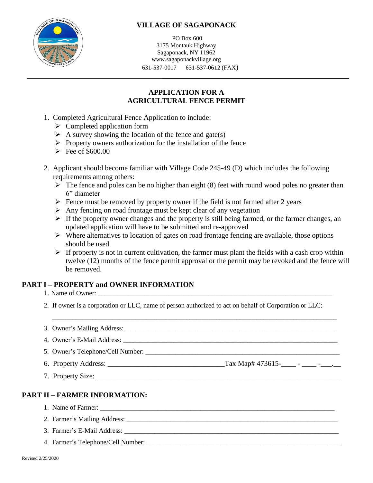

## **VILLAGE OF SAGAPONACK**

PO Box 600 3175 Montauk Highway Sagaponack, NY 11962 www.sagaponackvillage.org 631-537-0017 631-537-0612 (FAX)

## **APPLICATION FOR A AGRICULTURAL FENCE PERMIT**

- 1. Completed Agricultural Fence Application to include:
	- ➢ Completed application form
	- $\triangleright$  A survey showing the location of the fence and gate(s)
	- ➢ Property owners authorization for the installation of the fence
	- $\blacktriangleright$  Fee of \$600.00
- 2. Applicant should become familiar with Village Code 245-49 (D) which includes the following requirements among others:
	- $\triangleright$  The fence and poles can be no higher than eight (8) feet with round wood poles no greater than 6" diameter
	- $\triangleright$  Fence must be removed by property owner if the field is not farmed after 2 years
	- $\triangleright$  Any fencing on road frontage must be kept clear of any vegetation
	- $\triangleright$  If the property owner changes and the property is still being farmed, or the farmer changes, an updated application will have to be submitted and re-approved
	- $\triangleright$  Where alternatives to location of gates on road frontage fencing are available, those options should be used
	- $\triangleright$  If property is not in current cultivation, the farmer must plant the fields with a cash crop within twelve (12) months of the fence permit approval or the permit may be revoked and the fence will be removed.

### **PART I – PROPERTY and OWNER INFORMATION**

- 1. Name of Owner: \_\_\_\_\_\_\_\_\_\_\_\_\_\_\_\_\_\_\_\_\_\_\_\_\_\_\_\_\_\_\_\_\_\_\_\_\_\_\_\_\_\_\_\_\_\_\_\_\_\_\_\_\_\_\_\_\_\_\_\_\_\_\_\_\_\_\_\_\_\_
- 2. If owner is a corporation or LLC, name of person authorized to act on behalf of Corporation or LLC:
- 3. Owner's Mailing Address:
- 4. Owner's E-Mail Address:
- 5. Owner's Telephone/Cell Number: \_\_\_\_\_\_\_\_\_\_\_\_\_\_\_\_\_\_\_\_\_\_\_\_\_\_\_\_\_\_\_\_\_\_\_\_\_\_\_\_\_\_\_\_\_\_\_\_\_\_\_\_\_\_\_\_\_\_
- 6. Property Address: \_\_\_\_\_\_\_\_\_\_\_\_\_\_\_\_\_\_\_\_\_\_\_\_\_\_\_\_\_\_\_\_Tax Map# 473615-\_\_\_\_ \_\_\_\_ -\_\_\_.\_\_
- 7. Property Size:

### **PART II – FARMER INFORMATION:**

- 1. Name of Farmer: \_\_\_\_\_\_\_\_\_\_\_\_\_\_\_\_\_\_\_\_\_\_\_\_\_\_\_\_\_\_\_\_\_\_\_\_\_\_\_\_\_\_\_\_\_\_\_\_\_\_\_\_\_\_\_\_\_\_\_\_\_\_\_\_\_\_\_\_\_\_
- 2. Farmer's Mailing Address: \_\_\_\_\_\_\_\_\_\_\_\_\_\_\_\_\_\_\_\_\_\_\_\_\_\_\_\_\_\_\_\_\_\_\_\_\_\_\_\_\_\_\_\_\_\_\_\_\_\_\_\_\_\_\_\_\_\_\_\_\_\_\_
- 3. Farmer's E-Mail Address:
- 4. Farmer's Telephone/Cell Number: \_\_\_\_\_\_\_\_\_\_\_\_\_\_\_\_\_\_\_\_\_\_\_\_\_\_\_\_\_\_\_\_\_\_\_\_\_\_\_\_\_\_\_\_\_\_\_\_\_\_\_\_\_\_\_\_\_\_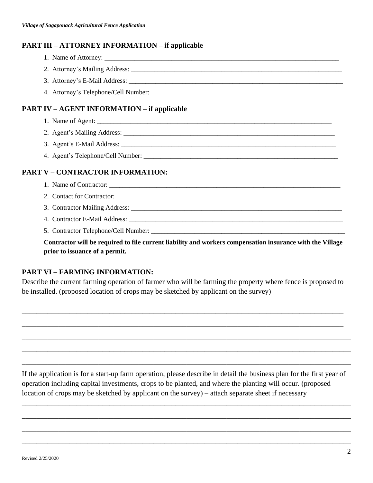#### **PART III – ATTORNEY INFORMATION – if applicable**

- 1. Name of Attorney:
- 2. Attorney's Mailing Address: \_\_\_\_\_\_\_\_\_\_\_\_\_\_\_\_\_\_\_\_\_\_\_\_\_\_\_\_\_\_\_\_\_\_\_\_\_\_\_\_\_\_\_\_\_\_\_\_\_\_\_\_\_\_\_\_\_\_\_\_\_\_\_
	- 3. Attorney's E-Mail Address:
	- 4. Attorney's Telephone/Cell Number: \_\_\_\_\_\_\_\_\_\_\_\_\_\_\_\_\_\_\_\_\_\_\_\_\_\_\_\_\_\_\_\_\_\_\_\_\_\_\_\_\_\_\_\_\_\_\_\_\_\_\_\_\_\_\_\_\_\_

#### **PART IV – AGENT INFORMATION – if applicable**

- 1. Name of Agent:
- 2. Agent's Mailing Address: \_\_\_\_\_\_\_\_\_\_\_\_\_\_\_\_\_\_\_\_\_\_\_\_\_\_\_\_\_\_\_\_\_\_\_\_\_\_\_\_\_\_\_\_\_\_\_\_\_\_\_\_\_\_\_\_\_\_\_\_\_\_\_
- 3. Agent's E-Mail Address: \_\_\_\_\_\_\_\_\_\_\_\_\_\_\_\_\_\_\_\_\_\_\_\_\_\_\_\_\_\_\_\_\_\_\_\_\_\_\_\_\_\_\_\_\_\_\_\_\_\_\_\_\_\_\_\_\_\_\_\_\_\_\_\_
- 4. Agent's Telephone/Cell Number:

### **PART V – CONTRACTOR INFORMATION:**

- 1. Name of Contractor:
- 2. Contact for Contractor: \_\_\_\_\_\_\_\_\_\_\_\_\_\_\_\_\_\_\_\_\_\_\_\_\_\_\_\_\_\_\_\_\_\_\_\_\_\_\_\_\_\_\_\_\_\_\_\_\_\_\_\_\_\_\_\_\_\_\_\_\_\_\_\_\_\_\_
- 3. Contractor Mailing Address: \_\_\_\_\_\_\_\_\_\_\_\_\_\_\_\_\_\_\_\_\_\_\_\_\_\_\_\_\_\_\_\_\_\_\_\_\_\_\_\_\_\_\_\_\_\_\_\_\_\_\_\_\_\_\_\_\_\_\_\_\_\_\_
- 4. Contractor E-Mail Address:
- 5. Contractor Telephone/Cell Number: \_\_\_\_\_\_\_\_\_\_\_\_\_\_\_\_\_\_\_\_\_\_\_\_\_\_\_\_\_\_\_\_\_\_\_\_\_\_\_\_\_\_\_\_\_\_\_\_\_\_\_\_\_\_\_\_\_\_

**Contractor will be required to file current liability and workers compensation insurance with the Village prior to issuance of a permit.**

### **PART VI – FARMING INFORMATION:**

Describe the current farming operation of farmer who will be farming the property where fence is proposed to be installed. (proposed location of crops may be sketched by applicant on the survey)

\_\_\_\_\_\_\_\_\_\_\_\_\_\_\_\_\_\_\_\_\_\_\_\_\_\_\_\_\_\_\_\_\_\_\_\_\_\_\_\_\_\_\_\_\_\_\_\_\_\_\_\_\_\_\_\_\_\_\_\_\_\_\_\_\_\_\_\_\_\_\_\_\_\_\_\_\_\_\_\_\_\_\_\_\_\_\_\_

\_\_\_\_\_\_\_\_\_\_\_\_\_\_\_\_\_\_\_\_\_\_\_\_\_\_\_\_\_\_\_\_\_\_\_\_\_\_\_\_\_\_\_\_\_\_\_\_\_\_\_\_\_\_\_\_\_\_\_\_\_\_\_\_\_\_\_\_\_\_\_\_\_\_\_\_\_\_\_\_\_\_\_\_\_\_\_\_

\_\_\_\_\_\_\_\_\_\_\_\_\_\_\_\_\_\_\_\_\_\_\_\_\_\_\_\_\_\_\_\_\_\_\_\_\_\_\_\_\_\_\_\_\_\_\_\_\_\_\_\_\_\_\_\_\_\_\_\_\_\_\_\_\_\_\_\_\_\_\_\_\_\_\_\_\_\_\_\_\_\_\_\_\_\_\_\_\_\_

\_\_\_\_\_\_\_\_\_\_\_\_\_\_\_\_\_\_\_\_\_\_\_\_\_\_\_\_\_\_\_\_\_\_\_\_\_\_\_\_\_\_\_\_\_\_\_\_\_\_\_\_\_\_\_\_\_\_\_\_\_\_\_\_\_\_\_\_\_\_\_\_\_\_\_\_\_\_\_\_\_\_\_\_\_\_\_\_\_\_

\_\_\_\_\_\_\_\_\_\_\_\_\_\_\_\_\_\_\_\_\_\_\_\_\_\_\_\_\_\_\_\_\_\_\_\_\_\_\_\_\_\_\_\_\_\_\_\_\_\_\_\_\_\_\_\_\_\_\_\_\_\_\_\_\_\_\_\_\_\_\_\_\_\_\_\_\_\_\_\_\_\_\_\_\_\_\_\_\_\_

If the application is for a start-up farm operation, please describe in detail the business plan for the first year of operation including capital investments, crops to be planted, and where the planting will occur. (proposed location of crops may be sketched by applicant on the survey) – attach separate sheet if necessary

\_\_\_\_\_\_\_\_\_\_\_\_\_\_\_\_\_\_\_\_\_\_\_\_\_\_\_\_\_\_\_\_\_\_\_\_\_\_\_\_\_\_\_\_\_\_\_\_\_\_\_\_\_\_\_\_\_\_\_\_\_\_\_\_\_\_\_\_\_\_\_\_\_\_\_\_\_\_\_\_\_\_\_\_\_\_\_\_\_\_

\_\_\_\_\_\_\_\_\_\_\_\_\_\_\_\_\_\_\_\_\_\_\_\_\_\_\_\_\_\_\_\_\_\_\_\_\_\_\_\_\_\_\_\_\_\_\_\_\_\_\_\_\_\_\_\_\_\_\_\_\_\_\_\_\_\_\_\_\_\_\_\_\_\_\_\_\_\_\_\_\_\_\_\_\_\_\_\_\_\_

\_\_\_\_\_\_\_\_\_\_\_\_\_\_\_\_\_\_\_\_\_\_\_\_\_\_\_\_\_\_\_\_\_\_\_\_\_\_\_\_\_\_\_\_\_\_\_\_\_\_\_\_\_\_\_\_\_\_\_\_\_\_\_\_\_\_\_\_\_\_\_\_\_\_\_\_\_\_\_\_\_\_\_\_\_\_\_\_\_\_

\_\_\_\_\_\_\_\_\_\_\_\_\_\_\_\_\_\_\_\_\_\_\_\_\_\_\_\_\_\_\_\_\_\_\_\_\_\_\_\_\_\_\_\_\_\_\_\_\_\_\_\_\_\_\_\_\_\_\_\_\_\_\_\_\_\_\_\_\_\_\_\_\_\_\_\_\_\_\_\_\_\_\_\_\_\_\_\_\_\_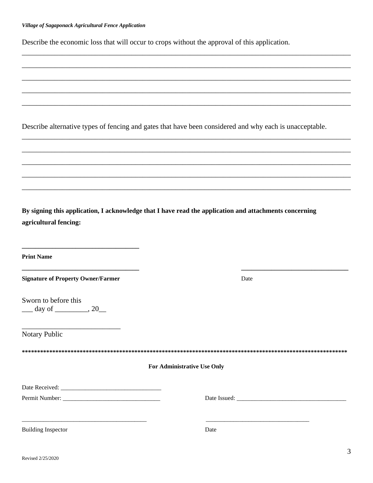Describe the economic loss that will occur to crops without the approval of this application.

|                                                                                              |  |                             |      | Describe alternative types of fencing and gates that have been considered and why each is unacceptable. |
|----------------------------------------------------------------------------------------------|--|-----------------------------|------|---------------------------------------------------------------------------------------------------------|
|                                                                                              |  |                             |      |                                                                                                         |
|                                                                                              |  |                             |      |                                                                                                         |
|                                                                                              |  |                             |      |                                                                                                         |
| agricultural fencing:                                                                        |  |                             |      | By signing this application, I acknowledge that I have read the application and attachments concerning  |
| <b>Print Name</b>                                                                            |  |                             |      |                                                                                                         |
| <b>Signature of Property Owner/Farmer</b>                                                    |  |                             | Date |                                                                                                         |
| Sworn to before this<br>$\frac{\text{day of}}{\text{day of}}$ , 20                           |  |                             |      |                                                                                                         |
| Notary Public                                                                                |  |                             |      |                                                                                                         |
|                                                                                              |  | For Administrative Use Only |      |                                                                                                         |
|                                                                                              |  |                             |      |                                                                                                         |
|                                                                                              |  |                             |      |                                                                                                         |
| <u> 1980 - Johann Barn, margaret eta biztanleria (h. 1980).</u><br><b>Building Inspector</b> |  |                             | Date |                                                                                                         |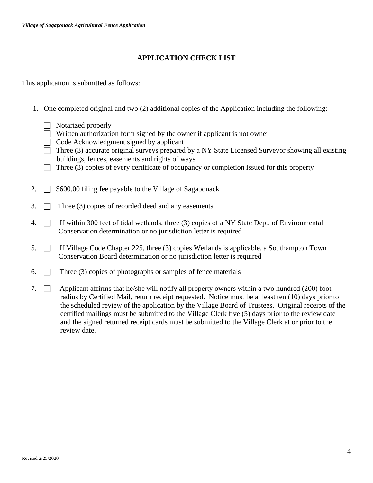#### **APPLICATION CHECK LIST**

This application is submitted as follows:

- 1. One completed original and two (2) additional copies of the Application including the following:
	- $\Box$  Notarized properly
	- $\Box$  Written authorization form signed by the owner if applicant is not owner
	- $\Box$  Code Acknowledgment signed by applicant
	- $\Box$  Three (3) accurate original surveys prepared by a NY State Licensed Surveyor showing all existing buildings, fences, easements and rights of ways
	- $\Box$  Three (3) copies of every certificate of occupancy or completion issued for this property
- 2.  $\Box$  \$600.00 filing fee payable to the Village of Sagaponack
- 3.  $\Box$  Three (3) copies of recorded deed and any easements
- 4.  $\Box$  If within 300 feet of tidal wetlands, three (3) copies of a NY State Dept. of Environmental Conservation determination or no jurisdiction letter is required
- 5.  $\Box$  If Village Code Chapter 225, three (3) copies Wetlands is applicable, a Southampton Town Conservation Board determination or no jurisdiction letter is required
- 6.  $\Box$  Three (3) copies of photographs or samples of fence materials
- 7.  $\Box$  Applicant affirms that he/she will notify all property owners within a two hundred (200) foot radius by Certified Mail, return receipt requested. Notice must be at least ten (10) days prior to the scheduled review of the application by the Village Board of Trustees. Original receipts of the certified mailings must be submitted to the Village Clerk five (5) days prior to the review date and the signed returned receipt cards must be submitted to the Village Clerk at or prior to the review date.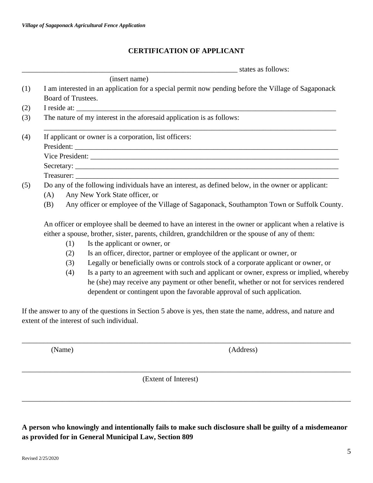### **CERTIFICATION OF APPLICANT**

\_\_\_\_\_\_\_\_\_\_\_\_\_\_\_\_\_\_\_\_\_\_\_\_\_\_\_\_\_\_\_\_\_\_\_\_\_\_\_\_\_\_\_\_\_\_\_\_\_\_\_\_\_\_\_\_\_\_\_ states as follows:

|     | (insert name)                                                                                       |  |  |  |  |  |
|-----|-----------------------------------------------------------------------------------------------------|--|--|--|--|--|
| (1) | I am interested in an application for a special permit now pending before the Village of Sagaponack |  |  |  |  |  |
|     | Board of Trustees.                                                                                  |  |  |  |  |  |
| (2) | I reside at:                                                                                        |  |  |  |  |  |
| (3) | The nature of my interest in the aforesaid application is as follows:                               |  |  |  |  |  |
| (4) | If applicant or owner is a corporation, list officers:                                              |  |  |  |  |  |
|     |                                                                                                     |  |  |  |  |  |
|     |                                                                                                     |  |  |  |  |  |
|     |                                                                                                     |  |  |  |  |  |
|     |                                                                                                     |  |  |  |  |  |
| (5) | Do any of the following individuals have an interest, as defined below, in the owner or applicant:  |  |  |  |  |  |
|     | Any New York State officer, or<br>(A)                                                               |  |  |  |  |  |
|     | Any officer or employee of the Village of Sagaponack, Southampton Town or Suffolk County.<br>(B)    |  |  |  |  |  |

either a spouse, brother, sister, parents, children, grandchildren or the spouse of any of them:

- (1) Is the applicant or owner, or
- (2) Is an officer, director, partner or employee of the applicant or owner, or
- (3) Legally or beneficially owns or controls stock of a corporate applicant or owner, or
- (4) Is a party to an agreement with such and applicant or owner, express or implied, whereby he (she) may receive any payment or other benefit, whether or not for services rendered dependent or contingent upon the favorable approval of such application.

If the answer to any of the questions in Section 5 above is yes, then state the name, address, and nature and extent of the interest of such individual.

\_\_\_\_\_\_\_\_\_\_\_\_\_\_\_\_\_\_\_\_\_\_\_\_\_\_\_\_\_\_\_\_\_\_\_\_\_\_\_\_\_\_\_\_\_\_\_\_\_\_\_\_\_\_\_\_\_\_\_\_\_\_\_\_\_\_\_\_\_\_\_\_\_\_\_\_\_\_\_\_\_\_\_\_\_\_\_\_\_\_

\_\_\_\_\_\_\_\_\_\_\_\_\_\_\_\_\_\_\_\_\_\_\_\_\_\_\_\_\_\_\_\_\_\_\_\_\_\_\_\_\_\_\_\_\_\_\_\_\_\_\_\_\_\_\_\_\_\_\_\_\_\_\_\_\_\_\_\_\_\_\_\_\_\_\_\_\_\_\_\_\_\_\_\_\_\_\_\_\_\_

\_\_\_\_\_\_\_\_\_\_\_\_\_\_\_\_\_\_\_\_\_\_\_\_\_\_\_\_\_\_\_\_\_\_\_\_\_\_\_\_\_\_\_\_\_\_\_\_\_\_\_\_\_\_\_\_\_\_\_\_\_\_\_\_\_\_\_\_\_\_\_\_\_\_\_\_\_\_\_\_\_\_\_\_\_\_\_\_\_\_

(Name) (Address)

(Extent of Interest)

| A person who knowingly and intentionally fails to make such disclosure shall be guilty of a misdemeanor |
|---------------------------------------------------------------------------------------------------------|
| as provided for in General Municipal Law, Section 809                                                   |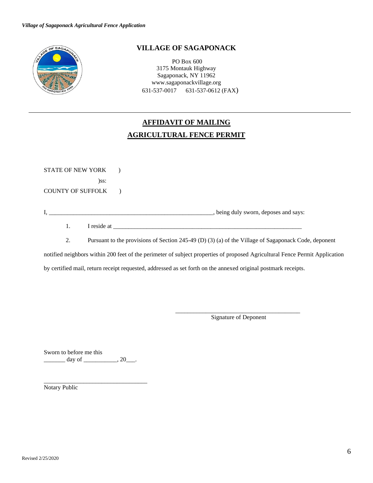

#### **VILLAGE OF SAGAPONACK**

PO Box 600 3175 Montauk Highway Sagaponack, NY 11962 www.sagaponackvillage.org 631-537-0017 631-537-0612 (FAX)

# **AFFIDAVIT OF MAILING AGRICULTURAL FENCE PERMIT**

STATE OF NEW YORK ) )ss: COUNTY OF SUFFOLK ) I, \_\_\_\_\_\_\_\_\_\_\_\_\_\_\_\_\_\_\_\_\_\_\_\_\_\_\_\_\_\_\_\_\_\_\_\_\_\_\_\_\_\_\_\_\_\_\_\_\_\_\_\_\_\_, being duly sworn, deposes and says: 1. I reside at

2. Pursuant to the provisions of Section 245-49 (D) (3) (a) of the Village of Sagaponack Code, deponent

notified neighbors within 200 feet of the perimeter of subject properties of proposed Agricultural Fence Permit Application

by certified mail, return receipt requested, addressed as set forth on the annexed original postmark receipts.

\_\_\_\_\_\_\_\_\_\_\_\_\_\_\_\_\_\_\_\_\_\_\_\_\_\_\_\_\_\_\_\_\_\_\_\_\_\_\_\_\_ Signature of Deponent

Sworn to before me this  $\frac{day \text{ of }_{\text{max}}}{20}$ .

\_\_\_\_\_\_\_\_\_\_\_\_\_\_\_\_\_\_\_\_\_\_\_\_\_\_\_\_\_\_\_\_\_\_

Notary Public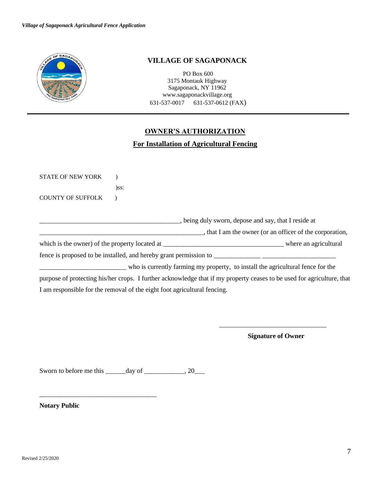

#### **VILLAGE OF SAGAPONACK**

PO Box 600 3175 Montauk Highway Sagaponack, NY 11962 www.sagaponackvillage.org 631-537-0017 631-537-0612 (FAX)

#### **OWNER'S AUTHORIZATION**

#### **For Installation of Agricultural Fencing**

| <b>STATE OF NEW YORK</b>                                                                                               |                                                                                 |                                                       |                                                                   |
|------------------------------------------------------------------------------------------------------------------------|---------------------------------------------------------------------------------|-------------------------------------------------------|-------------------------------------------------------------------|
|                                                                                                                        | $)$ ss:                                                                         |                                                       |                                                                   |
| <b>COUNTY OF SUFFOLK</b>                                                                                               |                                                                                 |                                                       |                                                                   |
|                                                                                                                        |                                                                                 | _, being duly sworn, depose and say, that I reside at |                                                                   |
|                                                                                                                        |                                                                                 |                                                       | $\ldots$ , that I am the owner (or an officer of the corporation, |
|                                                                                                                        |                                                                                 |                                                       |                                                                   |
|                                                                                                                        |                                                                                 |                                                       |                                                                   |
|                                                                                                                        | who is currently farming my property, to install the agricultural fence for the |                                                       |                                                                   |
| purpose of protecting his/her crops. I further acknowledge that if my property ceases to be used for agriculture, that |                                                                                 |                                                       |                                                                   |
| I am responsible for the removal of the eight foot agricultural fencing.                                               |                                                                                 |                                                       |                                                                   |
|                                                                                                                        |                                                                                 |                                                       |                                                                   |
|                                                                                                                        |                                                                                 |                                                       |                                                                   |
|                                                                                                                        |                                                                                 |                                                       |                                                                   |

**Signature of Owner** 

Sworn to before me this \_\_\_\_\_\_day of \_\_\_\_\_\_\_\_\_\_, 20\_\_\_

\_\_\_\_\_\_\_\_\_\_\_\_\_\_\_\_\_\_\_\_\_\_\_\_\_\_\_\_\_\_\_\_\_\_\_

**Notary Public**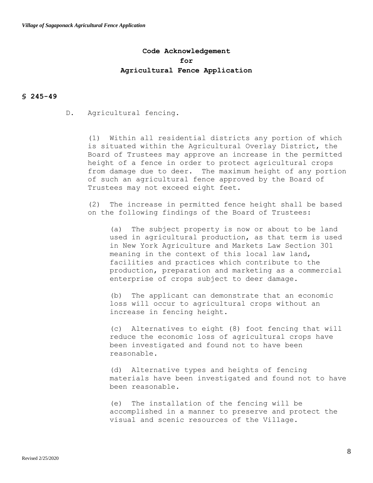#### **Code Acknowledgement for Agricultural Fence Application**

#### **§ 245-49**

D. Agricultural fencing.

(1) Within all residential districts any portion of which is situated within the Agricultural Overlay District, the Board of Trustees may approve an increase in the permitted height of a fence in order to protect agricultural crops from damage due to deer. The maximum height of any portion of such an agricultural fence approved by the Board of Trustees may not exceed eight feet.

(2) The increase in permitted fence height shall be based on the following findings of the Board of Trustees:

(a) The subject property is now or about to be land used in agricultural production, as that term is used in New York Agriculture and Markets Law Section 301 meaning in the context of this local law land, facilities and practices which contribute to the production, preparation and marketing as a commercial enterprise of crops subject to deer damage.

(b) The applicant can demonstrate that an economic loss will occur to agricultural crops without an increase in fencing height.

(c) Alternatives to eight (8) foot fencing that will reduce the economic loss of agricultural crops have been investigated and found not to have been reasonable.

(d) Alternative types and heights of fencing materials have been investigated and found not to have been reasonable.

(e) The installation of the fencing will be accomplished in a manner to preserve and protect the visual and scenic resources of the Village.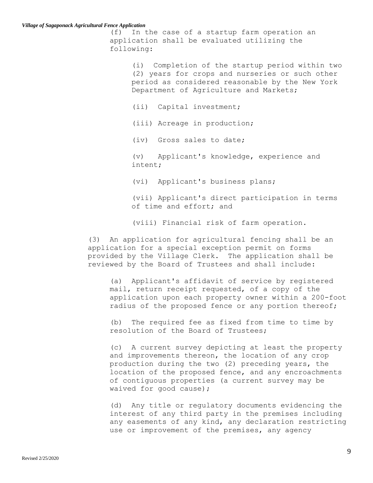#### *Village of Sagaponack Agricultural Fence Application*

(f) In the case of a startup farm operation an application shall be evaluated utilizing the following:

> (i) Completion of the startup period within two (2) years for crops and nurseries or such other period as considered reasonable by the New York Department of Agriculture and Markets;

(ii) Capital investment;

(iii) Acreage in production;

(iv) Gross sales to date;

(v) Applicant's knowledge, experience and intent;

(vi) Applicant's business plans;

(vii) Applicant's direct participation in terms of time and effort; and

(viii) Financial risk of farm operation.

(3) An application for agricultural fencing shall be an application for a special exception permit on forms provided by the Village Clerk. The application shall be reviewed by the Board of Trustees and shall include:

(a) Applicant's affidavit of service by registered mail, return receipt requested, of a copy of the application upon each property owner within a 200-foot radius of the proposed fence or any portion thereof;

(b) The required fee as fixed from time to time by resolution of the Board of Trustees;

(c) A current survey depicting at least the property and improvements thereon, the location of any crop production during the two (2) preceding years, the location of the proposed fence, and any encroachments of contiguous properties (a current survey may be waived for good cause);

(d) Any title or regulatory documents evidencing the interest of any third party in the premises including any easements of any kind, any declaration restricting use or improvement of the premises, any agency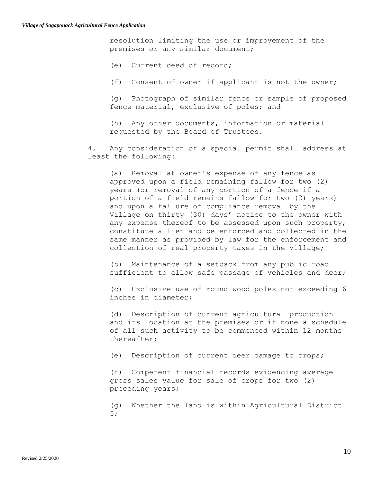resolution limiting the use or improvement of the premises or any similar document;

(e) Current deed of record;

(f) Consent of owner if applicant is not the owner;

(g) Photograph of similar fence or sample of proposed fence material, exclusive of poles; and

(h) Any other documents, information or material requested by the Board of Trustees.

4. Any consideration of a special permit shall address at least the following:

(a) Removal at owner's expense of any fence as approved upon a field remaining fallow for two (2) years (or removal of any portion of a fence if a portion of a field remains fallow for two (2) years) and upon a failure of compliance removal by the Village on thirty (30) days' notice to the owner with any expense thereof to be assessed upon such property, constitute a lien and be enforced and collected in the same manner as provided by law for the enforcement and collection of real property taxes in the Village;

(b) Maintenance of a setback from any public road sufficient to allow safe passage of vehicles and deer;

(c) Exclusive use of round wood poles not exceeding 6 inches in diameter;

(d) Description of current agricultural production and its location at the premises or if none a schedule of all such activity to be commenced within 12 months thereafter;

(e) Description of current deer damage to crops;

(f) Competent financial records evidencing average gross sales value for sale of crops for two (2) preceding years;

(g) Whether the land is within Agricultural District 5;